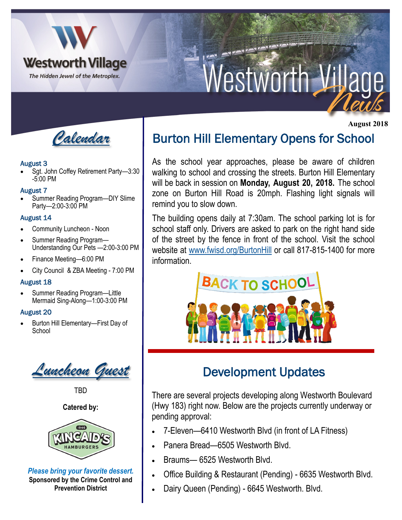

# Vestworth V de

 **August 2018**



#### August 3

• Sgt. John Coffey Retirement Party—3:30 -5:00 PM

#### August 7

• Summer Reading Program—DIY Slime Party—2:00-3:00 PM

#### August 14

- Community Luncheon Noon
- Summer Reading Program— Understanding Our Pets —2:00-3:00 PM
- Finance Meeting—6:00 PM
- City Council & ZBA Meeting 7:00 PM

#### August 18

• Summer Reading Program—Little Mermaid Sing-Along—1:00-3:00 PM

#### August 20

• Burton Hill Elementary—First Day of **School** 

*Luncheon Guest*

TBD

#### **Catered by:**



*Please bring your favorite dessert.*  **Sponsored by the Crime Control and Prevention District**

# Burton Hill Elementary Opens for School

As the school year approaches, please be aware of children walking to school and crossing the streets. Burton Hill Elementary will be back in session on **Monday, August 20, 2018.** The school zone on Burton Hill Road is 20mph. Flashing light signals will remind you to slow down.

The building opens daily at 7:30am. The school parking lot is for school staff only. Drivers are asked to park on the right hand side of the street by the fence in front of the school. Visit the school website at [www.fwisd.org/BurtonHill](http://www.fwisd.org/BurtonHill) or call 817-815-1400 for more information.



# Development Updates

There are several projects developing along Westworth Boulevard (Hwy 183) right now. Below are the projects currently underway or pending approval:

- 7-Eleven—6410 Westworth Blvd (in front of LA Fitness)
- Panera Bread—6505 Westworth Blvd.
- Braums— 6525 Westworth Blvd.
- Office Building & Restaurant (Pending) 6635 Westworth Blvd.
- Dairy Queen (Pending) 6645 Westworth. Blvd.